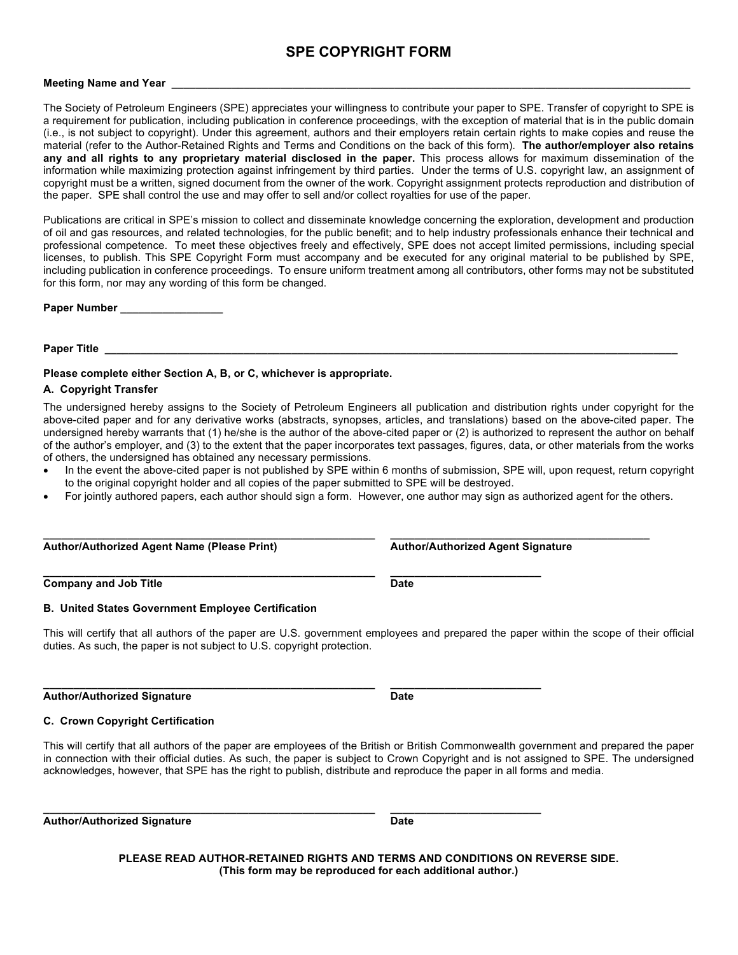# **SPE COPYRIGHT FORM**

## **Meeting Name and Year**

The Society of Petroleum Engineers (SPE) appreciates your willingness to contribute your paper to SPE. Transfer of copyright to SPE is a requirement for publication, including publication in conference proceedings, with the exception of material that is in the public domain (i.e., is not subject to copyright). Under this agreement, authors and their employers retain certain rights to make copies and reuse the material (refer to the Author-Retained Rights and Terms and Conditions on the back of this form). **The author/employer also retains any and all rights to any proprietary material disclosed in the paper.** This process allows for maximum dissemination of the information while maximizing protection against infringement by third parties. Under the terms of U.S. copyright law, an assignment of copyright must be a written, signed document from the owner of the work. Copyright assignment protects reproduction and distribution of the paper. SPE shall control the use and may offer to sell and/or collect royalties for use of the paper.

Publications are critical in SPE's mission to collect and disseminate knowledge concerning the exploration, development and production of oil and gas resources, and related technologies, for the public benefit; and to help industry professionals enhance their technical and professional competence. To meet these objectives freely and effectively, SPE does not accept limited permissions, including special licenses, to publish. This SPE Copyright Form must accompany and be executed for any original material to be published by SPE, including publication in conference proceedings. To ensure uniform treatment among all contributors, other forms may not be substituted for this form, nor may any wording of this form be changed.

**Paper Number \_\_\_\_\_\_\_\_\_\_\_\_\_\_\_\_\_**

#### **Paper Title**

# **Please complete either Section A, B, or C, whichever is appropriate.**

## **A. Copyright Transfer**

The undersigned hereby assigns to the Society of Petroleum Engineers all publication and distribution rights under copyright for the above-cited paper and for any derivative works (abstracts, synopses, articles, and translations) based on the above-cited paper. The undersigned hereby warrants that (1) he/she is the author of the above-cited paper or (2) is authorized to represent the author on behalf of the author's employer, and (3) to the extent that the paper incorporates text passages, figures, data, or other materials from the works of others, the undersigned has obtained any necessary permissions.

- In the event the above-cited paper is not published by SPE within 6 months of submission, SPE will, upon request, return copyright to the original copyright holder and all copies of the paper submitted to SPE will be destroyed.
- For jointly authored papers, each author should sign a form. However, one author may sign as authorized agent for the others.

**\_\_\_\_\_\_\_\_\_\_\_\_\_\_\_\_\_\_\_\_\_\_\_\_\_\_\_\_\_\_\_\_\_\_\_\_\_\_\_\_\_\_\_\_\_\_\_\_\_\_\_\_\_\_\_ \_\_\_\_\_\_\_\_\_\_\_\_\_\_\_\_\_\_\_\_\_\_\_\_\_\_\_\_\_\_\_\_\_\_\_\_\_\_\_\_\_\_\_**

**\_\_\_\_\_\_\_\_\_\_\_\_\_\_\_\_\_\_\_\_\_\_\_\_\_\_\_\_\_\_\_\_\_\_\_\_\_\_\_\_\_\_\_\_\_\_\_\_\_\_\_\_\_\_\_ \_\_\_\_\_\_\_\_\_\_\_\_\_\_\_\_\_\_\_\_\_\_\_\_\_**

**\_\_\_\_\_\_\_\_\_\_\_\_\_\_\_\_\_\_\_\_\_\_\_\_\_\_\_\_\_\_\_\_\_\_\_\_\_\_\_\_\_\_\_\_\_\_\_\_\_\_\_\_\_\_\_ \_\_\_\_\_\_\_\_\_\_\_\_\_\_\_\_\_\_\_\_\_\_\_\_\_**

**Author/Authorized Agent Name (Please Print) Author/Authorized Agent Signature**

**Company and Job Title Date** 

#### **B. United States Government Employee Certification**

This will certify that all authors of the paper are U.S. government employees and prepared the paper within the scope of their official duties. As such, the paper is not subject to U.S. copyright protection.

Author/Authorized Signature **Date Date** 

#### **C. Crown Copyright Certification**

This will certify that all authors of the paper are employees of the British or British Commonwealth government and prepared the paper in connection with their official duties. As such, the paper is subject to Crown Copyright and is not assigned to SPE. The undersigned acknowledges, however, that SPE has the right to publish, distribute and reproduce the paper in all forms and media.

Author/Authorized Signature **Date Date** 

**PLEASE READ AUTHOR-RETAINED RIGHTS AND TERMS AND CONDITIONS ON REVERSE SIDE. (This form may be reproduced for each additional author.)**

**\_\_\_\_\_\_\_\_\_\_\_\_\_\_\_\_\_\_\_\_\_\_\_\_\_\_\_\_\_\_\_\_\_\_\_\_\_\_\_\_\_\_\_\_\_\_\_\_\_\_\_\_\_\_\_ \_\_\_\_\_\_\_\_\_\_\_\_\_\_\_\_\_\_\_\_\_\_\_\_\_**